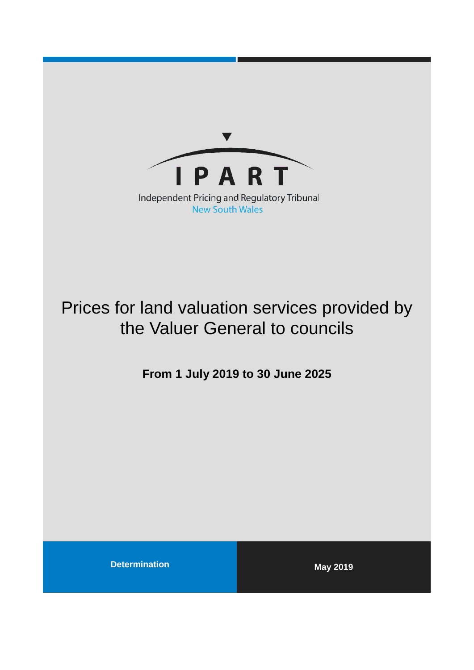

# Prices for land valuation services provided by the Valuer General to councils

**From 1 July 2019 to 30 June 2025**

**Determination May 2019**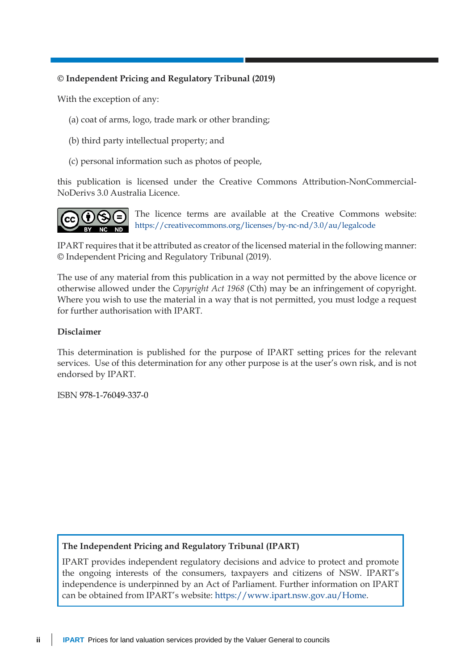#### **© Independent Pricing and Regulatory Tribunal (2019)**

With the exception of any:

- (a) coat of arms, logo, trade mark or other branding;
- (b) third party intellectual property; and
- (c) personal information such as photos of people,

this publication is licensed under the Creative Commons Attribution-NonCommercial-NoDerivs 3.0 Australia Licence.

The licence terms are available at the Creative Commons website: <https://creativecommons.org/licenses/by-nc-nd/3.0/au/legalcode>

IPART requires that it be attributed as creator of the licensed material in the following manner: © Independent Pricing and Regulatory Tribunal (2019).

The use of any material from this publication in a way not permitted by the above licence or otherwise allowed under the *Copyright Act 1968* (Cth) may be an infringement of copyright. Where you wish to use the material in a way that is not permitted, you must lodge a request for further authorisation with IPART.

#### **Disclaimer**

This determination is published for the purpose of IPART setting prices for the relevant services. Use of this determination for any other purpose is at the user's own risk, and is not endorsed by IPART.

ISBN 978-1-76049-337-0

#### **The Independent Pricing and Regulatory Tribunal (IPART)**

IPART provides independent regulatory decisions and advice to protect and promote the ongoing interests of the consumers, taxpayers and citizens of NSW. IPART's independence is underpinned by an Act of Parliament. Further information on IPART can be obtained from IPART's website: [https://www.ipart.nsw.gov.au/Home.](https://www.ipart.nsw.gov.au/Home)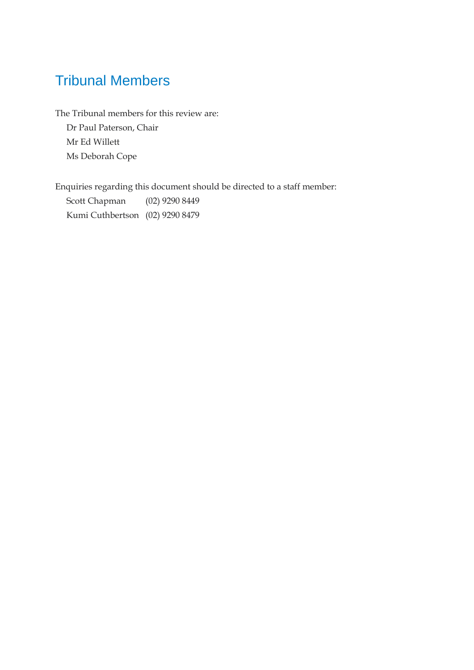## Tribunal Members

The Tribunal members for this review are: Dr Paul Paterson, Chair Mr Ed Willett Ms Deborah Cope

Enquiries regarding this document should be directed to a staff member: Scott Chapman (02) 9290 8449 Kumi Cuthbertson (02) 9290 8479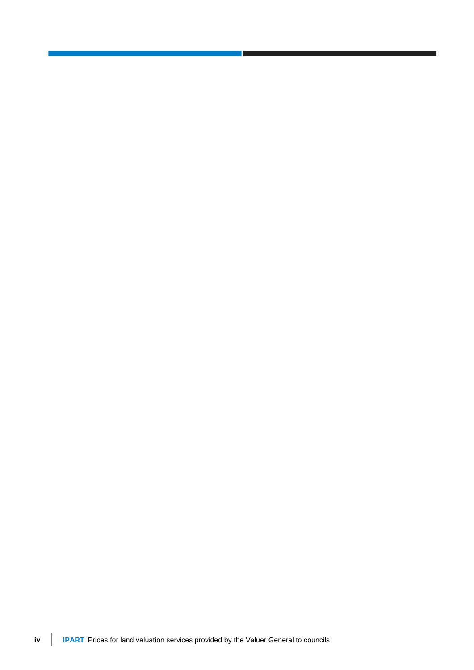**iv IPART** Prices for land valuation services provided by the Valuer General to councils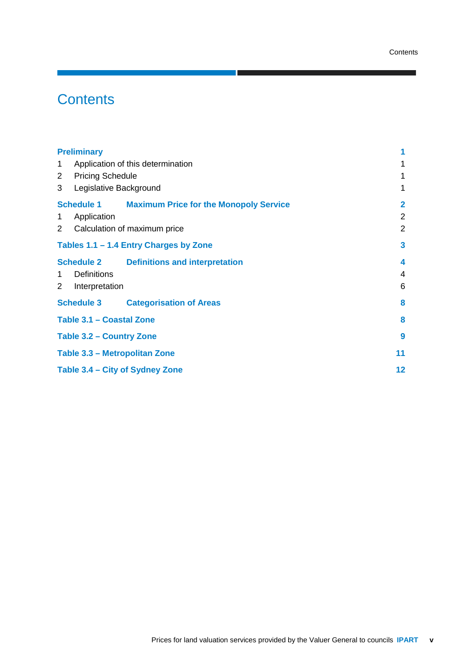### **Contents**

|                | <b>Preliminary</b>              |                                               | 1                       |
|----------------|---------------------------------|-----------------------------------------------|-------------------------|
| $\mathbf 1$    |                                 | Application of this determination             | 1                       |
| $\overline{2}$ | <b>Pricing Schedule</b>         |                                               | 1                       |
| 3 <sup>7</sup> | Legislative Background          |                                               | 1                       |
|                | <b>Schedule 1</b>               | <b>Maximum Price for the Monopoly Service</b> | $\overline{2}$          |
| 1              | Application                     |                                               | $\overline{2}$          |
| $2 \quad$      |                                 | Calculation of maximum price                  | $\overline{2}$          |
|                |                                 | Tables 1.1 - 1.4 Entry Charges by Zone        | $\overline{\mathbf{3}}$ |
|                | <b>Schedule 2</b>               | <b>Definitions and interpretation</b>         | 4                       |
| $\mathbf 1$    | <b>Definitions</b>              |                                               | 4                       |
| $\overline{2}$ | Interpretation                  |                                               | 6                       |
|                | <b>Schedule 3</b>               | <b>Categorisation of Areas</b>                | 8                       |
|                | Table 3.1 - Coastal Zone        |                                               | 8                       |
|                | <b>Table 3.2 - Country Zone</b> |                                               | 9                       |
|                |                                 | Table 3.3 - Metropolitan Zone                 | 11                      |
|                |                                 | Table 3.4 - City of Sydney Zone               | 12                      |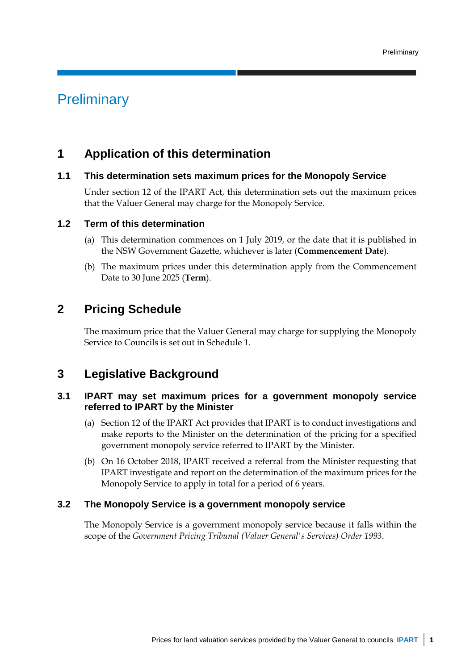### **Preliminary**

### **1 Application of this determination**

#### **1.1 This determination sets maximum prices for the Monopoly Service**

Under section 12 of the IPART Act, this determination sets out the maximum prices that the Valuer General may charge for the Monopoly Service.

#### <span id="page-6-0"></span>**1.2 Term of this determination**

- (a) This determination commences on 1 July 2019, or the date that it is published in the NSW Government Gazette, whichever is later (**Commencement Date**).
- <span id="page-6-1"></span>(b) The maximum prices under this determination apply from the Commencement Date to 30 June 2025 (**Term**).

### **2 Pricing Schedule**

The maximum price that the Valuer General may charge for supplying the Monopoly Service to Councils is set out in Schedule 1.

### **3 Legislative Background**

#### **3.1 IPART may set maximum prices for a government monopoly service referred to IPART by the Minister**

- (a) Section 12 of the IPART Act provides that IPART is to conduct investigations and make reports to the Minister on the determination of the pricing for a specified government monopoly service referred to IPART by the Minister.
- (b) On 16 October 2018, IPART received a referral from the Minister requesting that IPART investigate and report on the determination of the maximum prices for the Monopoly Service to apply in total for a period of 6 years.

#### **3.2 The Monopoly Service is a government monopoly service**

The Monopoly Service is a government monopoly service because it falls within the scope of the *Government Pricing Tribunal (Valuer General's Services) Order 1993*.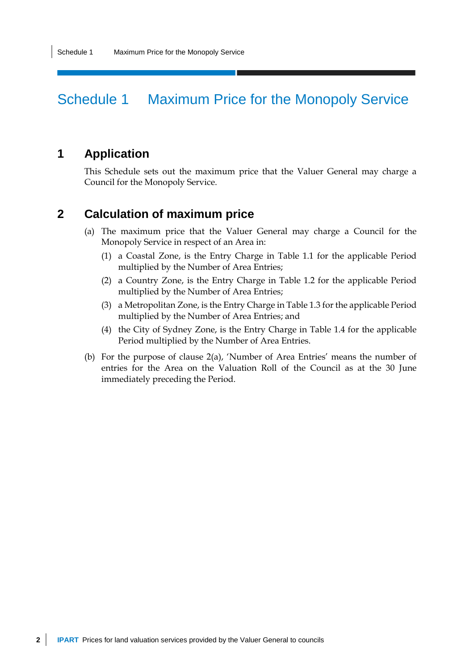### Schedule 1 Maximum Price for the Monopoly Service

### **1 Application**

This Schedule sets out the maximum price that the Valuer General may charge a Council for the Monopoly Service.

### **2 Calculation of maximum price**

- (a) The maximum price that the Valuer General may charge a Council for the Monopoly Service in respect of an Area in:
	- (1) a Coastal Zone, is the Entry Charge in Table 1.1 for the applicable Period multiplied by the Number of Area Entries;
	- (2) a Country Zone, is the Entry Charge in Table 1.2 for the applicable Period multiplied by the Number of Area Entries;
	- (3) a Metropolitan Zone, is the Entry Charge in Table 1.3 for the applicable Period multiplied by the Number of Area Entries; and
	- (4) the City of Sydney Zone, is the Entry Charge in Table 1.4 for the applicable Period multiplied by the Number of Area Entries.
- (b) For the purpose of clause 2(a), 'Number of Area Entries' means the number of entries for the Area on the Valuation Roll of the Council as at the 30 June immediately preceding the Period.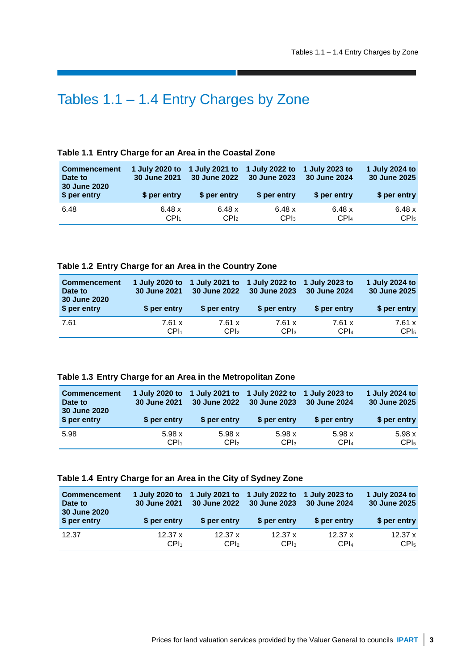## Tables 1.1 – 1.4 Entry Charges by Zone

| <b>Commencement</b><br>Date to<br>30 June 2020 | 1 July 2020 to<br>30 June 2021 | 30 June 2022              | 1 July 2021 to 1 July 2022 to<br>30 June 2023 | 1 July 2023 to<br>30 June 2024 | 1 July 2024 to<br>30 June 2025 |
|------------------------------------------------|--------------------------------|---------------------------|-----------------------------------------------|--------------------------------|--------------------------------|
| \$ per entry                                   | \$ per entry                   | \$ per entry              | \$ per entry                                  | \$ per entry                   | \$ per entry                   |
| 6.48                                           | 6.48 x<br>CPI <sub>1</sub>     | 6.48 x<br>CP <sub>b</sub> | 6.48 x<br>CP <sub>3</sub>                     | 6.48 x<br>CPI <sub>4</sub>     | 6.48 x<br>CP <sub>ls</sub>     |

#### **Table 1.1 Entry Charge for an Area in the Coastal Zone**

#### **Table 1.2 Entry Charge for an Area in the Country Zone**

| <b>Commencement</b><br>Date to<br>30 June 2020 | 1 July 2020 to<br>30 June 2021 | 1 July 2021 to 1 July 2022 to<br>30 June 2022 | 30 June 2023               | 1 July 2023 to<br>30 June 2024 | 1 July 2024 to<br>30 June 2025 |
|------------------------------------------------|--------------------------------|-----------------------------------------------|----------------------------|--------------------------------|--------------------------------|
| \$ per entry                                   | \$ per entry                   | \$ per entry                                  | \$ per entry               | \$ per entry                   | \$ per entry                   |
| 7.61                                           | 7.61 x<br>CPI <sub>1</sub>     | 7.61 x<br>CP <sub>b</sub>                     | 7.61 x<br>CPI <sub>3</sub> | 7.61 x<br>CPI <sub>4</sub>     | 7.61 x<br>CP <sub>ls</sub>     |

#### **Table 1.3 Entry Charge for an Area in the Metropolitan Zone**

| <b>Commencement</b><br>Date to<br>30 June 2020 | 1 July 2020 to<br>30 June 2021 | <b>30 June 2022</b>        | 1 July 2021 to 1 July 2022 to 1 July 2023 to<br>30 June 2023 | 30 June 2024                 | 1 July 2024 to<br>30 June 2025 |
|------------------------------------------------|--------------------------------|----------------------------|--------------------------------------------------------------|------------------------------|--------------------------------|
| \$ per entry                                   | \$ per entry                   | \$ per entry               | \$ per entry                                                 | \$ per entry                 | \$ per entry                   |
| 5.98                                           | 5.98 x<br>CPI <sub>1</sub>     | 5.98 x<br>CP <sub>12</sub> | 5.98 $x$<br>CPI <sub>3</sub>                                 | 5.98 $x$<br>CPI <sub>4</sub> | 5.98 x<br>CP <sub>I5</sub>     |

#### **Table 1.4 Entry Charge for an Area in the City of Sydney Zone**

| <b>Commencement</b><br>Date to<br>30 June 2020 | 1 July 2020 to<br>30 June 2021 | 1 July 2021 to 1 July 2022 to<br>30 June 2022 | 30 June 2023                | 1 July 2023 to<br>30 June 2024 | 1 July 2024 to<br>30 June 2025 |
|------------------------------------------------|--------------------------------|-----------------------------------------------|-----------------------------|--------------------------------|--------------------------------|
| \$ per entry                                   | \$ per entry                   | \$ per entry                                  | \$ per entry                | \$ per entry                   | \$ per entry                   |
| 12.37                                          | 12.37 x<br>CPI <sub>1</sub>    | 12.37 x<br>CPI <sub>2</sub>                   | 12.37 x<br>CPI <sub>3</sub> | 12.37 x<br>CPI <sub>4</sub>    | 12.37 x<br>CPI <sub>5</sub>    |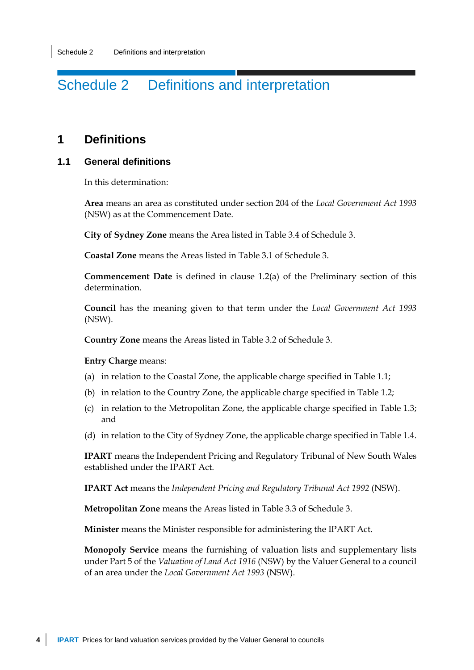### Schedule 2 Definitions and interpretation

### **1 Definitions**

#### **1.1 General definitions**

In this determination:

**Area** means an area as constituted under section 204 of the *Local Government Act 1993*  (NSW) as at the Commencement Date.

**City of Sydney Zone** means the Area listed in Table 3.4 of Schedule 3.

**Coastal Zone** means the Areas listed in Table 3.1 of Schedule 3.

**Commencement Date** is defined in clause [1.2\(a\)](#page-6-0) of the Preliminary section of this determination.

**Council** has the meaning given to that term under the *Local Government Act 1993*  (NSW).

**Country Zone** means the Areas listed in Table 3.2 of Schedule 3.

#### **Entry Charge** means:

- (a) in relation to the Coastal Zone, the applicable charge specified in Table 1.1;
- (b) in relation to the Country Zone, the applicable charge specified in Table 1.2;
- (c) in relation to the Metropolitan Zone, the applicable charge specified in Table 1.3; and
- (d) in relation to the City of Sydney Zone, the applicable charge specified in Table 1.4.

**IPART** means the Independent Pricing and Regulatory Tribunal of New South Wales established under the IPART Act.

**IPART Act** means the *Independent Pricing and Regulatory Tribunal Act 1992* (NSW).

**Metropolitan Zone** means the Areas listed in Table 3.3 of Schedule 3.

**Minister** means the Minister responsible for administering the IPART Act.

**Monopoly Service** means the furnishing of valuation lists and supplementary lists under Part 5 of the *Valuation of Land Act 1916* (NSW) by the Valuer General to a council of an area under the *Local Government Act 1993* (NSW).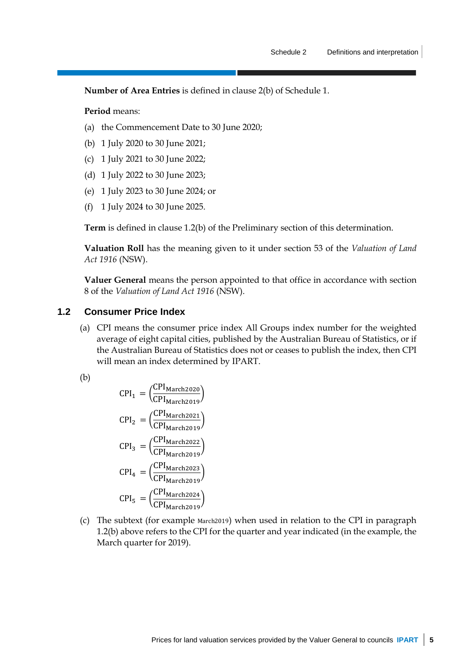**Number of Area Entries** is defined in clause 2(b) of Schedule 1.

**Period** means:

- (a) the Commencement Date to 30 June 2020;
- (b) 1 July 2020 to 30 June 2021;
- (c) 1 July 2021 to 30 June 2022;
- (d) 1 July 2022 to 30 June 2023;
- (e) 1 July 2023 to 30 June 2024; or
- (f) 1 July 2024 to 30 June 2025.

**Term** is defined in clause [1.2\(b\)](#page-6-1) of the Preliminary section of this determination.

**Valuation Roll** has the meaning given to it under section 53 of the *Valuation of Land Act 1916* (NSW).

**Valuer General** means the person appointed to that office in accordance with section 8 of the *Valuation of Land Act 1916* (NSW).

#### **1.2 Consumer Price Index**

(a) CPI means the consumer price index All Groups index number for the weighted average of eight capital cities, published by the Australian Bureau of Statistics, or if the Australian Bureau of Statistics does not or ceases to publish the index, then CPI will mean an index determined by IPART.

(b)

$$
CPI_1 = \left(\frac{CPI_{March2020}}{CPI_{March2019}}\right)
$$

$$
CPI_2 = \left(\frac{CPI_{March2021}}{CPI_{March2019}}\right)
$$

$$
CPI_3 = \left(\frac{CPI_{March2022}}{CPI_{March2019}}\right)
$$

$$
CPI_4 = \left(\frac{CPI_{March2023}}{CPI_{March2019}}\right)
$$

$$
CPI_5 = \left(\frac{CPI_{March2023}}{CPI_{March2019}}\right)
$$

(c) The subtext (for example March2019) when used in relation to the CPI in paragraph 1.2(b) above refers to the CPI for the quarter and year indicated (in the example, the March quarter for 2019).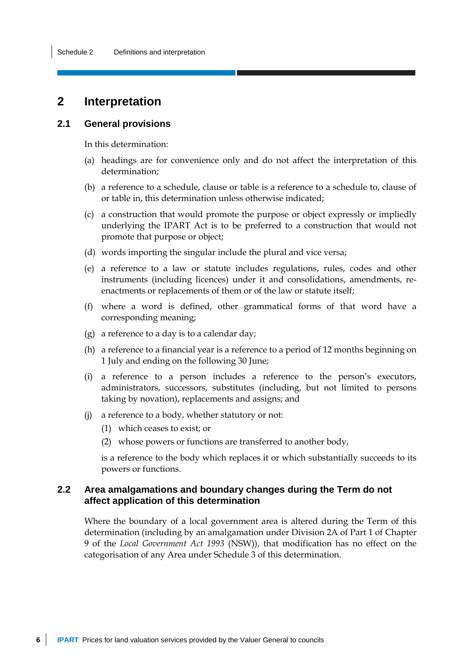### **2 Interpretation**

#### **2.1 General provisions**

In this determination:

- (a) headings are for convenience only and do not affect the interpretation of this determination;
- (b) a reference to a schedule, clause or table is a reference to a schedule to, clause of or table in, this determination unless otherwise indicated;
- (c) a construction that would promote the purpose or object expressly or impliedly underlying the IPART Act is to be preferred to a construction that would not promote that purpose or object;
- (d) words importing the singular include the plural and vice versa;
- (e) a reference to a law or statute includes regulations, rules, codes and other instruments (including licences) under it and consolidations, amendments, reenactments or replacements of them or of the law or statute itself;
- (f) where a word is defined, other grammatical forms of that word have a corresponding meaning;
- (g) a reference to a day is to a calendar day;
- (h) a reference to a financial year is a reference to a period of 12 months beginning on 1 July and ending on the following 30 June;
- (i) a reference to a person includes a reference to the person's executors, administrators, successors, substitutes (including, but not limited to persons taking by novation), replacements and assigns; and
- (j) a reference to a body, whether statutory or not:
	- (1) which ceases to exist; or
	- (2) whose powers or functions are transferred to another body,

is a reference to the body which replaces it or which substantially succeeds to its powers or functions.

#### **2.2 Area amalgamations and boundary changes during the Term do not affect application of this determination**

Where the boundary of a local government area is altered during the Term of this determination (including by an amalgamation under Division 2A of Part 1 of Chapter 9 of the *Local Government Act 1993* (NSW)), that modification has no effect on the categorisation of any Area under Schedule 3 of this determination.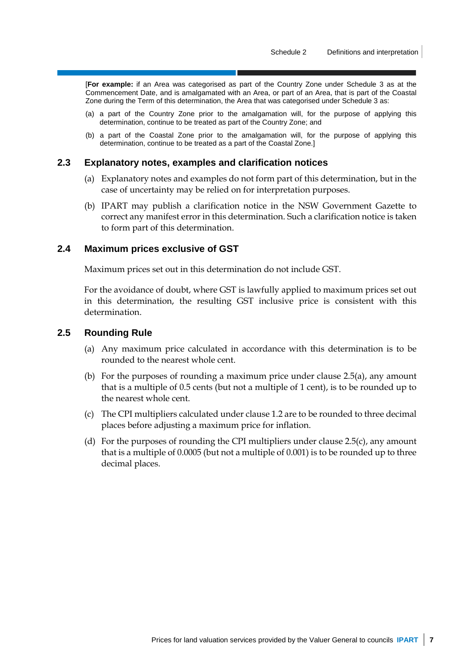[**For example:** if an Area was categorised as part of the Country Zone under Schedule 3 as at the Commencement Date, and is amalgamated with an Area, or part of an Area, that is part of the Coastal Zone during the Term of this determination, the Area that was categorised under Schedule 3 as:

- (a) a part of the Country Zone prior to the amalgamation will, for the purpose of applying this determination, continue to be treated as part of the Country Zone; and
- (b) a part of the Coastal Zone prior to the amalgamation will, for the purpose of applying this determination, continue to be treated as a part of the Coastal Zone.]

#### **2.3 Explanatory notes, examples and clarification notices**

- (a) Explanatory notes and examples do not form part of this determination, but in the case of uncertainty may be relied on for interpretation purposes.
- (b) IPART may publish a clarification notice in the NSW Government Gazette to correct any manifest error in this determination. Such a clarification notice is taken to form part of this determination.

#### **2.4 Maximum prices exclusive of GST**

Maximum prices set out in this determination do not include GST.

For the avoidance of doubt, where GST is lawfully applied to maximum prices set out in this determination, the resulting GST inclusive price is consistent with this determination.

#### **2.5 Rounding Rule**

- (a) Any maximum price calculated in accordance with this determination is to be rounded to the nearest whole cent.
- (b) For the purposes of rounding a maximum price under clause 2.5(a), any amount that is a multiple of 0.5 cents (but not a multiple of 1 cent), is to be rounded up to the nearest whole cent.
- (c) The CPI multipliers calculated under clause 1.2 are to be rounded to three decimal places before adjusting a maximum price for inflation.
- (d) For the purposes of rounding the CPI multipliers under clause 2.5(c), any amount that is a multiple of 0.0005 (but not a multiple of 0.001) is to be rounded up to three decimal places.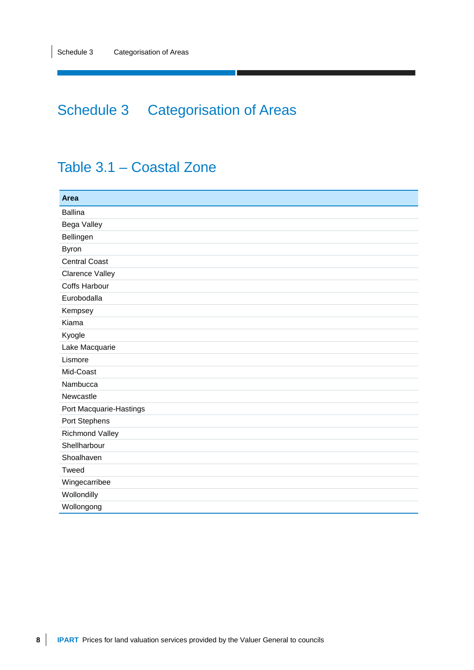## Schedule 3 Categorisation of Areas

## Table 3.1 – Coastal Zone

| Area                    |
|-------------------------|
| <b>Ballina</b>          |
| Bega Valley             |
| Bellingen               |
| Byron                   |
| <b>Central Coast</b>    |
| <b>Clarence Valley</b>  |
| Coffs Harbour           |
| Eurobodalla             |
| Kempsey                 |
| Kiama                   |
| Kyogle                  |
| Lake Macquarie          |
| Lismore                 |
| Mid-Coast               |
| Nambucca                |
| Newcastle               |
| Port Macquarie-Hastings |
| Port Stephens           |
| <b>Richmond Valley</b>  |
| Shellharbour            |
| Shoalhaven              |
| Tweed                   |
| Wingecarribee           |
| Wollondilly             |
| Wollongong              |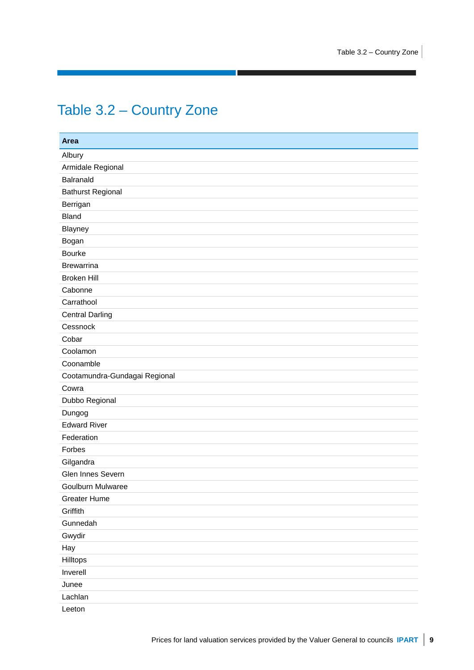## Table 3.2 – Country Zone

| Area                          |
|-------------------------------|
| Albury                        |
| Armidale Regional             |
| Balranald                     |
| <b>Bathurst Regional</b>      |
| Berrigan                      |
| <b>Bland</b>                  |
| Blayney                       |
| Bogan                         |
| <b>Bourke</b>                 |
| <b>Brewarrina</b>             |
| <b>Broken Hill</b>            |
| Cabonne                       |
| Carrathool                    |
| <b>Central Darling</b>        |
| Cessnock                      |
| Cobar                         |
| Coolamon                      |
| Coonamble                     |
| Cootamundra-Gundagai Regional |
| Cowra                         |
| Dubbo Regional                |
| Dungog                        |
| <b>Edward River</b>           |
| Federation                    |
| Forbes                        |
| Gilgandra                     |
| Glen Innes Severn             |
| Goulburn Mulwaree             |
| <b>Greater Hume</b>           |
| Griffith                      |
| Gunnedah                      |
| Gwydir                        |
| Hay                           |
| Hilltops                      |
| Inverell                      |
| Junee                         |
| Lachlan                       |
| Leeton                        |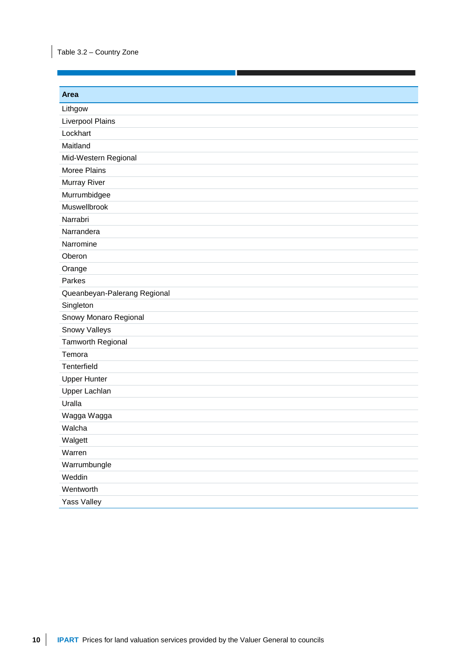| Area                         |
|------------------------------|
| Lithgow                      |
| Liverpool Plains             |
| Lockhart                     |
| Maitland                     |
| Mid-Western Regional         |
| Moree Plains                 |
| Murray River                 |
| Murrumbidgee                 |
| Muswellbrook                 |
| Narrabri                     |
| Narrandera                   |
| Narromine                    |
| Oberon                       |
| Orange                       |
| Parkes                       |
| Queanbeyan-Palerang Regional |
| Singleton                    |
| Snowy Monaro Regional        |
| Snowy Valleys                |
| Tamworth Regional            |
| Temora                       |
| Tenterfield                  |
| <b>Upper Hunter</b>          |
| Upper Lachlan                |
| Uralla                       |
| Wagga Wagga                  |
| Walcha                       |
| Walgett                      |
| Warren                       |
| Warrumbungle                 |
| Weddin                       |
| Wentworth                    |
| <b>Yass Valley</b>           |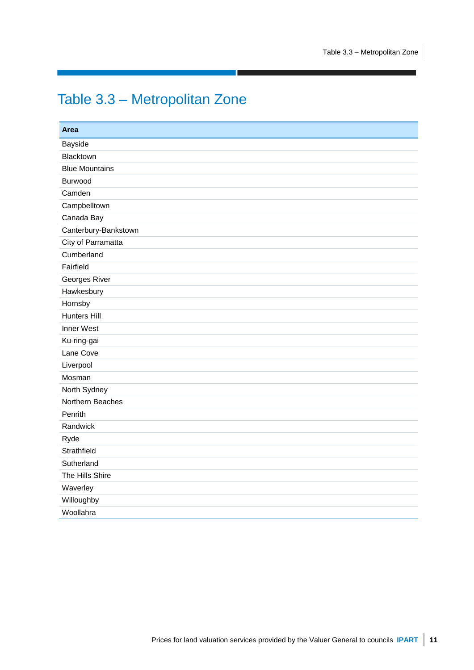## Table 3.3 – Metropolitan Zone

| <b>Area</b>           |
|-----------------------|
| Bayside               |
| Blacktown             |
| <b>Blue Mountains</b> |
| Burwood               |
| Camden                |
| Campbelltown          |
| Canada Bay            |
| Canterbury-Bankstown  |
| City of Parramatta    |
| Cumberland            |
| Fairfield             |
| Georges River         |
| Hawkesbury            |
| Hornsby               |
| <b>Hunters Hill</b>   |
| Inner West            |
| Ku-ring-gai           |
| Lane Cove             |
| Liverpool             |
| Mosman                |
| North Sydney          |
| Northern Beaches      |
| Penrith               |
| Randwick              |
| Ryde                  |
| Strathfield           |
| Sutherland            |
| The Hills Shire       |
| Waverley              |
| Willoughby            |
| Woollahra             |